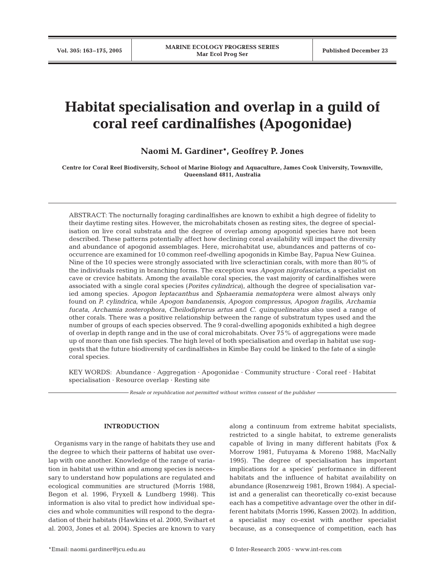# **Habitat specialisation and overlap in a guild of coral reef cardinalfishes (Apogonidae)**

**Naomi M. Gardiner\*, Geoffrey P. Jones**

**Centre for Coral Reef Biodiversity, School of Marine Biology and Aquaculture, James Cook University, Townsville, Queensland 4811, Australia**

ABSTRACT: The nocturnally foraging cardinalfishes are known to exhibit a high degree of fidelity to their daytime resting sites. However, the microhabitats chosen as resting sites, the degree of specialisation on live coral substrata and the degree of overlap among apogonid species have not been described. These patterns potentially affect how declining coral availability will impact the diversity and abundance of apogonid assemblages. Here, microhabitat use, abundances and patterns of cooccurrence are examined for 10 common reef-dwelling apogonids in Kimbe Bay, Papua New Guinea. Nine of the 10 species were strongly associated with live scleractinian corals, with more than 80% of the individuals resting in branching forms. The exception was *Apogon nigrofasciatus*, a specialist on cave or crevice habitats. Among the available coral species, the vast majority of cardinalfishes were associated with a single coral species (*Porites cylindrica*), although the degree of specialisation varied among species. *Apogon leptacanthus* and *Sphaeramia nematoptera* were almost always only found on *P. cylindrica*, while *Apogon bandanensis, Apogon compressus, Apogon fragilis*, *Archamia fucata, Archamia zosterophora, Cheilodipterus artus* and *C. quinquelineatus* also used a range of other corals. There was a positive relationship between the range of substratum types used and the number of groups of each species observed. The 9 coral-dwelling apogonids exhibited a high degree of overlap in depth range and in the use of coral microhabitats. Over 75% of aggregations were made up of more than one fish species. The high level of both specialisation and overlap in habitat use suggests that the future biodiversity of cardinalfishes in Kimbe Bay could be linked to the fate of a single coral species.

KEY WORDS: Abundance · Aggregation · Apogonidae · Community structure · Coral reef · Habitat specialisation · Resource overlap · Resting site

*Resale or republication not permitted without written consent of the publisher*

## **INTRODUCTION**

Organisms vary in the range of habitats they use and the degree to which their patterns of habitat use overlap with one another. Knowledge of the range of variation in habitat use within and among species is necessary to understand how populations are regulated and ecological communities are structured (Morris 1988, Begon et al. 1996, Fryxell & Lundberg 1998). This information is also vital to predict how individual species and whole communities will respond to the degradation of their habitats (Hawkins et al. 2000, Swihart et al. 2003, Jones et al. 2004). Species are known to vary

along a continuum from extreme habitat specialists, restricted to a single habitat, to extreme generalists capable of living in many different habitats (Fox & Morrow 1981, Futuyama & Moreno 1988, MacNally 1995). The degree of specialisation has important implications for a species' performance in different habitats and the influence of habitat availability on abundance (Rosenzweig 1981, Brown 1984). A specialist and a generalist can theoretically co-exist because each has a competitive advantage over the other in different habitats (Morris 1996, Kassen 2002). In addition, a specialist may co-exist with another specialist because, as a consequence of competition, each has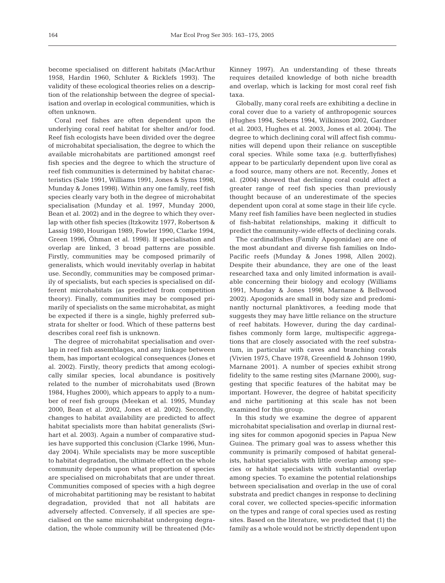become specialised on different habitats (MacArthur 1958, Hardin 1960, Schluter & Ricklefs 1993). The validity of these ecological theories relies on a description of the relationship between the degree of specialisation and overlap in ecological communities, which is often unknown.

Coral reef fishes are often dependent upon the underlying coral reef habitat for shelter and/or food. Reef fish ecologists have been divided over the degree of microhabitat specialisation, the degree to which the available microhabitats are partitioned amongst reef fish species and the degree to which the structure of reef fish communities is determined by habitat characteristics (Sale 1991, Williams 1991, Jones & Syms 1998, Munday & Jones 1998). Within any one family, reef fish species clearly vary both in the degree of microhabitat specialisation (Munday et al. 1997, Munday 2000, Bean et al. 2002) and in the degree to which they overlap with other fish species (Itzkowitz 1977, Robertson & Lassig 1980, Hourigan 1989, Fowler 1990, Clarke 1994, Green 1996, Öhman et al. 1998). If specialisation and overlap are linked, 3 broad patterns are possible. Firstly, communities may be composed primarily of generalists, which would inevitably overlap in habitat use. Secondly, communities may be composed primarily of specialists, but each species is specialised on different microhabitats (as predicted from competition theory). Finally, communities may be composed primarily of specialists on the same microhabitat, as might be expected if there is a single, highly preferred substrata for shelter or food. Which of these patterns best describes coral reef fish is unknown.

The degree of microhabitat specialisation and overlap in reef fish assemblages, and any linkage between them, has important ecological consequences (Jones et al. 2002). Firstly, theory predicts that among ecologically similar species, local abundance is positively related to the number of microhabitats used (Brown 1984, Hughes 2000), which appears to apply to a number of reef fish groups (Meekan et al. 1995, Munday 2000, Bean et al. 2002, Jones et al. 2002). Secondly, changes to habitat availability are predicted to affect habitat specialists more than habitat generalists (Swihart et al. 2003). Again a number of comparative studies have supported this conclusion (Clarke 1996, Munday 2004). While specialists may be more susceptible to habitat degradation, the ultimate effect on the whole community depends upon what proportion of species are specialised on microhabitats that are under threat. Communities composed of species with a high degree of microhabitat partitioning may be resistant to habitat degradation, provided that not all habitats are adversely affected. Conversely, if all species are specialised on the same microhabitat undergoing degradation, the whole community will be threatened (McKinney 1997). An understanding of these threats requires detailed knowledge of both niche breadth and overlap, which is lacking for most coral reef fish taxa.

Globally, many coral reefs are exhibiting a decline in coral cover due to a variety of anthropogenic sources (Hughes 1994, Sebens 1994, Wilkinson 2002, Gardner et al. 2003, Hughes et al. 2003, Jones et al. 2004). The degree to which declining coral will affect fish communities will depend upon their reliance on susceptible coral species. While some taxa (e.g. butterflyfishes) appear to be particularly dependent upon live coral as a food source, many others are not. Recently, Jones et al. (2004) showed that declining coral could affect a greater range of reef fish species than previously thought because of an underestimate of the species dependent upon coral at some stage in their life cycle. Many reef fish families have been neglected in studies of fish-habitat relationships, making it difficult to predict the community-wide effects of declining corals.

The cardinalfishes (Family Apogonidae) are one of the most abundant and diverse fish families on Indo-Pacific reefs (Munday & Jones 1998, Allen 2002). Despite their abundance, they are one of the least researched taxa and only limited information is available concerning their biology and ecology (Williams 1991, Munday & Jones 1998, Marnane & Bellwood 2002). Apogonids are small in body size and predominantly nocturnal planktivores, a feeding mode that suggests they may have little reliance on the structure of reef habitats. However, during the day cardinalfishes commonly form large, multispecific aggregations that are closely associated with the reef substratum, in particular with caves and branching corals (Vivien 1975, Chave 1978, Greenfield & Johnson 1990, Marnane 2001). A number of species exhibit strong fidelity to the same resting sites (Marnane 2000), suggesting that specific features of the habitat may be important. However, the degree of habitat specificity and niche partitioning at this scale has not been examined for this group.

In this study we examine the degree of apparent microhabitat specialisation and overlap in diurnal resting sites for common apogonid species in Papua New Guinea. The primary goal was to assess whether this community is primarily composed of habitat generalists, habitat specialists with little overlap among species or habitat specialists with substantial overlap among species. To examine the potential relationships between specialisation and overlap in the use of coral substrata and predict changes in response to declining coral cover, we collected species-specific information on the types and range of coral species used as resting sites. Based on the literature, we predicted that (1) the family as a whole would not be strictly dependent upon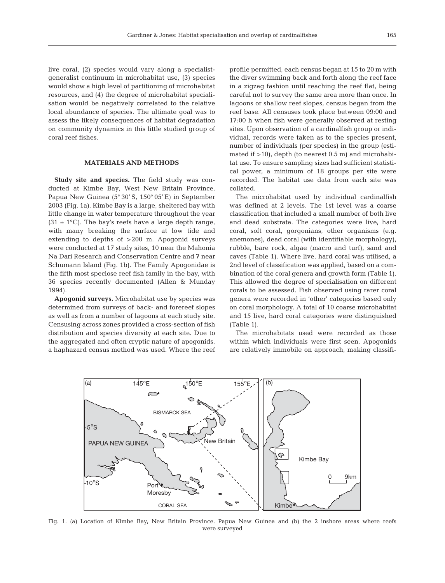live coral, (2) species would vary along a specialistgeneralist continuum in microhabitat use, (3) species would show a high level of partitioning of microhabitat resources, and (4) the degree of microhabitat specialisation would be negatively correlated to the relative local abundance of species. The ultimate goal was to assess the likely consequences of habitat degradation on community dynamics in this little studied group of coral reef fishes.

## **MATERIALS AND METHODS**

**Study site and species.** The field study was conducted at Kimbe Bay, West New Britain Province, Papua New Guinea (5° 30' S, 150° 05' E) in September 2003 (Fig. 1a). Kimbe Bay is a large, sheltered bay with little change in water temperature throughout the year  $(31 \pm 1^{\circ}C)$ . The bay's reefs have a large depth range, with many breaking the surface at low tide and extending to depths of >200 m. Apogonid surveys were conducted at 17 study sites, 10 near the Mahonia Na Dari Research and Conservation Centre and 7 near Schumann Island (Fig. 1b). The Family Apogonidae is the fifth most speciose reef fish family in the bay, with 36 species recently documented (Allen & Munday 1994).

**Apogonid surveys.** Microhabitat use by species was determined from surveys of back- and forereef slopes as well as from a number of lagoons at each study site. Censusing across zones provided a cross-section of fish distribution and species diversity at each site. Due to the aggregated and often cryptic nature of apogonids, a haphazard census method was used. Where the reef

profile permitted, each census began at 15 to 20 m with the diver swimming back and forth along the reef face in a zigzag fashion until reaching the reef flat, being careful not to survey the same area more than once. In lagoons or shallow reef slopes, census began from the reef base. All censuses took place between 09:00 and 17:00 h when fish were generally observed at resting sites. Upon observation of a cardinalfish group or individual, records were taken as to the species present, number of individuals (per species) in the group (estimated if >10), depth (to nearest 0.5 m) and microhabitat use. To ensure sampling sizes had sufficient statistical power, a minimum of 18 groups per site were recorded. The habitat use data from each site was collated.

The microhabitat used by individual cardinalfish was defined at 2 levels. The 1st level was a coarse classification that included a small number of both live and dead substrata. The categories were live, hard coral, soft coral, gorgonians, other organisms (e.g. anemones), dead coral (with identifiable morphology), rubble, bare rock, algae (macro and turf), sand and caves (Table 1). Where live, hard coral was utilised, a 2nd level of classification was applied, based on a combination of the coral genera and growth form (Table 1). This allowed the degree of specialisation on different corals to be assessed. Fish observed using rarer coral genera were recorded in 'other' categories based only on coral morphology. A total of 10 coarse microhabitat and 15 live, hard coral categories were distinguished (Table 1).

The microhabitats used were recorded as those within which individuals were first seen. Apogonids are relatively immobile on approach, making classifi-



Fig. 1. (a) Location of Kimbe Bay, New Britain Province, Papua New Guinea and (b) the 2 inshore areas where reefs were surveyed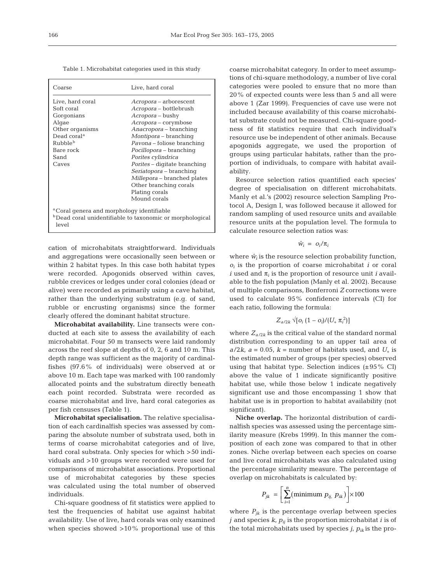| Table 1. Microhabitat categories used in this study |  |  |  |  |
|-----------------------------------------------------|--|--|--|--|
|-----------------------------------------------------|--|--|--|--|

| Coarse                                                                                                                                                   | Live, hard coral                                                                                                                                                                                                                                                                                                                                                                                   |
|----------------------------------------------------------------------------------------------------------------------------------------------------------|----------------------------------------------------------------------------------------------------------------------------------------------------------------------------------------------------------------------------------------------------------------------------------------------------------------------------------------------------------------------------------------------------|
| Live, hard coral<br>Soft coral<br>Gorgonians<br>Algae<br>Other organisms<br>Dead coral <sup>a</sup><br>Rubble <sup>b</sup><br>Bare rock<br>Sand<br>Caves | Acropora – arborescent<br>Acropora – bottlebrush<br>Acropora – bushy<br><i>Acropora</i> – corymbose<br>Anacropora - branching<br>Montipora - branching<br>Pavona – foliose branching<br>Pocillopora – branching<br>Porites cylindrica<br><i>Porites</i> – digitate branching<br>Seriatopora – branching<br>Millepora – branched plates<br>Other branching corals<br>Plating corals<br>Mound corals |
| <sup>a</sup> Coral genera and morphology identifiable<br>level                                                                                           | <sup>b</sup> Dead coral unidentifiable to taxonomic or morphological                                                                                                                                                                                                                                                                                                                               |

cation of microhabitats straightforward. Individuals and aggregations were occasionally seen between or within 2 habitat types. In this case both habitat types were recorded. Apogonids observed within caves, rubble crevices or ledges under coral colonies (dead or alive) were recorded as primarily using a cave habitat, rather than the underlying substratum (e.g. of sand, rubble or encrusting organisms) since the former clearly offered the dominant habitat structure.

**Microhabitat availability.** Line transects were conducted at each site to assess the availability of each microhabitat. Four 50 m transects were laid randomly across the reef slope at depths of 0, 2, 6 and 10 m. This depth range was sufficient as the majority of cardinalfishes (97.6% of individuals) were observed at or above 10 m. Each tape was marked with 100 randomly allocated points and the substratum directly beneath each point recorded. Substrata were recorded as coarse microhabitat and live, hard coral categories as per fish censuses (Table 1).

**Microhabitat specialisation.** The relative specialisation of each cardinalfish species was assessed by comparing the absolute number of substrata used, both in terms of coarse microhabitat categories and of live, hard coral substrata. Only species for which >50 individuals and >10 groups were recorded were used for comparisons of microhabitat associations. Proportional use of microhabitat categories by these species was calculated using the total number of observed individuals.

Chi-square goodness of fit statistics were applied to test the frequencies of habitat use against habitat availability. Use of live, hard corals was only examined when species showed >10% proportional use of this

coarse microhabitat category. In order to meet assumptions of chi-square methodology, a number of live coral categories were pooled to ensure that no more than 20% of expected counts were less than 5 and all were above 1 (Zar 1999). Frequencies of cave use were not included because availability of this coarse microhabitat substrate could not be measured. Chi-square goodness of fit statistics require that each individual's resource use be independent of other animals. Because apogonids aggregate, we used the proportion of groups using particular habitats, rather than the proportion of individuals, to compare with habitat availability.

Resource selection ratios quantified each species' degree of specialisation on different microhabitats. Manly et al.'s (2002) resource selection Sampling Protocol A, Design I, was followed because it allowed for random sampling of used resource units and available resource units at the population level. The formula to calculate resource selection ratios was:

$$
\hat{w}_i = o_i/\pi_i
$$

where  $\hat{w}_i$  is the resource selection probability function, *oi* is the proportion of coarse microhabitat *i* or coral *i* used and  $\pi$ <sub>*i*</sub> is the proportion of resource unit *i* available to the fish population (Manly et al. 2002). Because of multiple comparisons, Bonferroni *Z* corrections were used to calculate 95% confidence intervals (CI) for each ratio, following the formula:

$$
Z_{a/2k}\sqrt[4]{[\,o_i\,(1-o_i)/(U_{+}\,\pi_i^{\,2})\,]}
$$

where  $Z_{a/2k}$  is the critical value of the standard normal distribution corresponding to an upper tail area of  $a/2k$ ,  $a = 0.05$ ,  $k =$  number of habitats used, and  $U_{+}$  is the estimated number of groups (per species) observed using that habitat type. Selection indices  $(\pm 95\% \text{ CI})$ above the value of 1 indicate significantly positive habitat use, while those below 1 indicate negatively significant use and those encompassing 1 show that habitat use is in proportion to habitat availability (not significant).

**Niche overlap.** The horizontal distribution of cardinalfish species was assessed using the percentage similarity measure (Krebs 1999). In this manner the composition of each zone was compared to that in other zones. Niche overlap between each species on coarse and live coral microhabitats was also calculated using the percentage similarity measure. The percentage of overlap on microhabitats is calculated by:

$$
P_{jk} = \left[\sum_{i=1}^{n} (\text{minimum } p_{ij}, p_{ik})\right] \times 100
$$

where  $P_{jk}$  is the percentage overlap between species  $j$  and species  $k$ ,  $p_{ij}$  is the proportion microhabitat  $i$  is of the total microhabitats used by species  $j$ ,  $p_{ik}$  is the pro-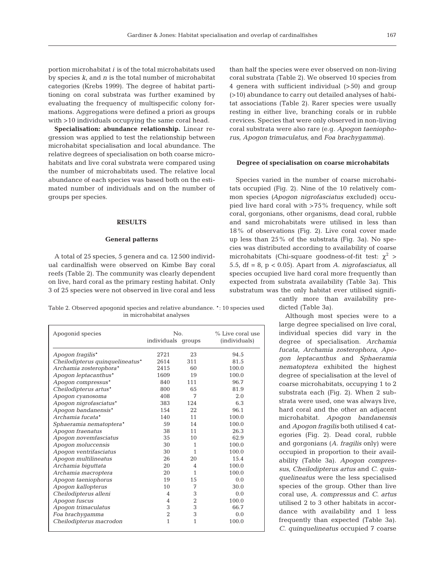167

portion microhabitat *i* is of the total microhabitats used by species *k*, and *n* is the total number of microhabitat categories (Krebs 1999). The degree of habitat partitioning on coral substrata was further examined by evaluating the frequency of multispecific colony formations. Aggregations were defined a priori as groups with >10 individuals occupying the same coral head.

**Specialisation: abundance relationship.** Linear regression was applied to test the relationship between microhabitat specialisation and local abundance. The relative degrees of specialisation on both coarse microhabitats and live coral substrata were compared using the number of microhabitats used. The relative local abundance of each species was based both on the estimated number of individuals and on the number of groups per species.

## **RESULTS**

### **General patterns**

A total of 25 species, 5 genera and ca. 12 500 individual cardinalfish were observed on Kimbe Bay coral reefs (Table 2). The community was clearly dependent on live, hard coral as the primary resting habitat. Only 3 of 25 species were not observed in live coral and less

Table 2. Observed apogonid species and relative abundance. \*: 10 species used in microhabitat analyses

| Apogonid species                | N <sub>0</sub> .   |                | % Live coral use |  |  |  |
|---------------------------------|--------------------|----------------|------------------|--|--|--|
|                                 | individuals groups |                | (individuals)    |  |  |  |
|                                 |                    |                |                  |  |  |  |
| Apogon fragilis*                | 2721               | 23             | 94.5             |  |  |  |
| Cheilodipterus quinquelineatus* | 2614               | 311            | 81.5             |  |  |  |
| Archamia zosterophora*          | 2415               | 60             | 100.0            |  |  |  |
| Apogon leptacanthus*            | 1609               | 19             | 100.0            |  |  |  |
| Apogon compressus*              | 840                | 111            | 96.7             |  |  |  |
| Cheilodipterus artus*           | 800                | 65             | 81.9             |  |  |  |
| Apoqon cyanosoma                | 408                | 7              | 2.0              |  |  |  |
| Apogon nigrofasciatus*          | 383                | 124            | 6.3              |  |  |  |
| Apogon bandanensis*             | 154                | 22.2           | 96.1             |  |  |  |
| Archamia fucata*                | 140                | 11             | 100.0            |  |  |  |
| Sphaeramia nematoptera*         | 59                 | 14             | 100.0            |  |  |  |
| Apogon fraenatus                | 38                 | 11             | 26.3             |  |  |  |
| Apogon novemfasciatus           | 35                 | 10             | 62.9             |  |  |  |
| Apogon moluccensis              | 30                 | 1              | 100.0            |  |  |  |
| Apogon ventrifasciatus          | 30                 | 1              | 100.0            |  |  |  |
| Apogon multilineatus            | 26                 | 20             | 15.4             |  |  |  |
| Archamia biguttata              | 20                 | 4              | 100.0            |  |  |  |
| Archamia macroptera             | 20                 | 1              | 100.0            |  |  |  |
| Apogon taeniophorus             | 19                 | 15             | 0.0              |  |  |  |
| Apogon kallopterus              | 10                 | 7              | 30.0             |  |  |  |
| Cheilodipterus alleni           | $\overline{4}$     | 3              | 0.0              |  |  |  |
| Apogon fuscus                   | 4                  | $\overline{2}$ | 100.0            |  |  |  |
| Apogon trimaculatus             | 3                  | 3              | 66.7             |  |  |  |
| Foa brachygamma                 | $\overline{2}$     | 3              | 0.0              |  |  |  |
| Cheilodipterus macrodon         | $\mathbf{1}$       | 1              | 100.0            |  |  |  |
|                                 |                    |                |                  |  |  |  |

than half the species were ever observed on non-living coral substrata (Table 2). We observed 10 species from 4 genera with sufficient individual (>50) and group (>10) abundance to carry out detailed analyses of habitat associations (Table 2). Rarer species were usually resting in either live, branching corals or in rubble crevices. Species that were only observed in non-living coral substrata were also rare (e.g. *Apogon taeniophorus*, *Apogon trimaculatus*, and *Foa brachygamma*).

#### **Degree of specialisation on coarse microhabitats**

Species varied in the number of coarse microhabitats occupied (Fig. 2). Nine of the 10 relatively common species *(Apogon nigrofasciatus* excluded) occupied live hard coral with >75% frequency, while soft coral, gorgonians, other organisms, dead coral, rubble and sand microhabitats were utilised in less than 18% of observations (Fig. 2). Live coral cover made up less than 25% of the substrata (Fig. 3a). No species was distributed according to availability of coarse microhabitats (Chi-square goodness-of-fit test:  $\chi^2$  > 5.5, df = 8, p < 0.05). Apart from *A. nigrofasciatus*, all species occupied live hard coral more frequently than expected from substrata availability (Table 3a). This substratum was the only habitat ever utilised signifi-

cantly more than availability predicted (Table 3a).

Although most species were to a large degree specialised on live coral, individual species did vary in the degree of specialisation. *Archamia fucata*, *Archamia zosterophora*, *Apogon leptacanthus* and *Sphaeramia nematoptera* exhibited the highest degree of specialisation at the level of coarse microhabitats, occupying 1 to 2 substrata each (Fig. 2). When 2 substrata were used, one was always live, hard coral and the other an adjacent microhabitat. *Apogon bandanensis* and *Apogon fragilis* both utilised 4 categories (Fig. 2). Dead coral, rubble and gorgonians (*A. fragilis* only) were occupied in proportion to their availability (Table 3a). *Apogon compressus*, *Cheilodipterus artus* and *C. quinquelineatus* were the less specialised species of the group. Other than live coral use, *A. compressus* and *C. artus* utilised 2 to 3 other habitats in accordance with availability and 1 less frequently than expected (Table 3a). *C. quinquelineatus* occupied 7 coarse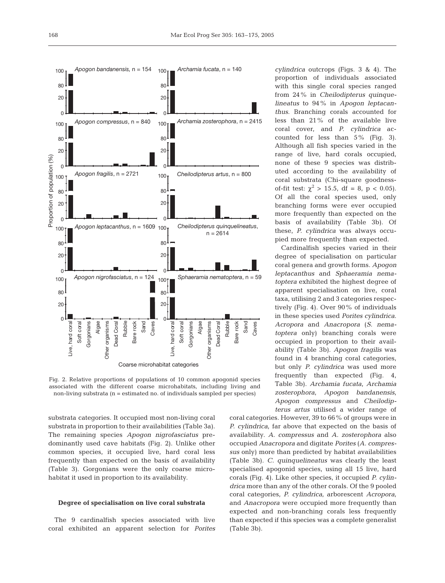

Fig. 2. Relative proportions of populations of 10 common apogonid species associated with the different coarse microhabitats, including living and non-living substrata (n = estimated no. of individuals sampled per species)

substrata categories. It occupied most non-living coral substrata in proportion to their availabilities (Table 3a). The remaining species *Apogon nigrofasciatus* predominantly used cave habitats (Fig. 2). Unlike other common species, it occupied live, hard coral less frequently than expected on the basis of availability (Table 3). Gorgonians were the only coarse microhabitat it used in proportion to its availability.

### **Degree of specialisation on live coral substrata**

The 9 cardinalfish species associated with live coral exhibited an apparent selection for *Porites* *cylindrica* outcrops (Figs. 3 & 4). The proportion of individuals associated with this single coral species ranged from 24% in *Cheilodipterus quinquelineatus* to 94% in *Apogon leptacanthus*. Branching corals accounted for less than 21% of the available live coral cover, and *P. cylindrica* accounted for less than 5% (Fig. 3). Although all fish species varied in the range of live, hard corals occupied, none of these 9 species was distributed according to the availability of coral substrata (Chi-square goodnessof-fit test:  $\chi^2 > 15.5$ , df = 8, p < 0.05). Of all the coral species used, only branching forms were ever occupied more frequently than expected on the basis of availability (Table 3b). Of these, *P. cylindrica* was always occupied more frequently than expected.

Cardinalfish species varied in their degree of specialisation on particular coral genera and growth forms. *Apogon leptacanthus* and *Sphaeramia nematoptera* exhibited the highest degree of apparent specialisation on live, coral taxa, utilising 2 and 3 categories respectively (Fig. 4). Over 90% of individuals in these species used *Porites cylindrica*. *Acropora* and *Anacropora* (*S. nematoptera* only) branching corals were occupied in proportion to their availability (Table 3b). *Apogon fragilis* was found in 4 branching coral categories, but only *P. cylindrica* was used more frequently than expected (Fig. 4, Table 3b). *Archamia fucata, Archamia zosterophora, Apogon bandanensis, Apogon compressus* and *Cheilodipterus artus* utilised a wider range of

coral categories. However, 39 to 66% of groups were in *P. cylindrica*, far above that expected on the basis of availability. *A. compressus* and *A. zosterophora* also occupied *Anacropora* and digitate *Porites* (*A. compressus* only) more than predicted by habitat availabilities (Table 3b). *C. quinquelineatus* was clearly the least specialised apogonid species, using all 15 live, hard corals (Fig. 4). Like other species, it occupied *P. cylindrica* more than any of the other corals. Of the 9 pooled coral categories, *P. cylindrica*, arborescent *Acropora*, and *Anacropora* were occupied more frequently than expected and non-branching corals less frequently than expected if this species was a complete generalist (Table 3b).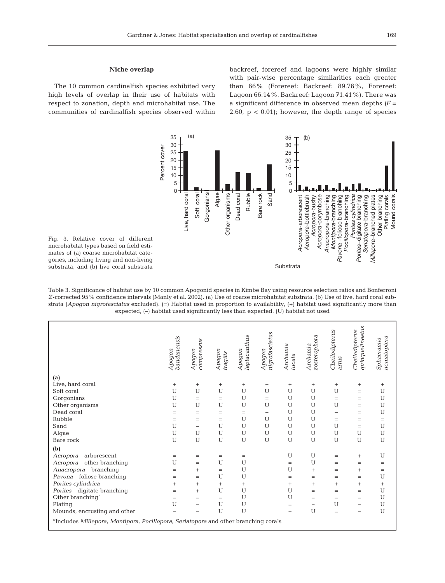## **Niche overlap**

The 10 common cardinalfish species exhibited very high levels of overlap in their use of habitats with respect to zonation, depth and microhabitat use. The communities of cardinalfish species observed within

backreef, forereef and lagoons were highly similar with pair-wise percentage similarities each greater than 66% (Forereef: Backreef: 89.76%, Forereef: Lagoon 66.14%, Backreef: Lagoon 71.41%). There was a significant difference in observed mean depths *(F* = 2.60,  $p < 0.01$ ; however, the depth range of species



Fig. 3. Relative cover of different microhabitat types based on field estimates of (a) coarse microhabitat categories, including living and non-living substrata, and (b) live coral substrata

Table 3. Significance of habitat use by 10 common Apogonid species in Kimbe Bay using resource selection ratios and Bonferroni *Z*-corrected 95% confidence intervals (Manly et al. 2002). (a) Use of coarse microhabitat substrata. (b) Use of live, hard coral substrata (*Apogon nigrofasciatus* excluded). (=) Habitat used in proportion to availability, (+) habitat used significantly more than expected, (–) habitat used significantly less than expected, (U) habitat not used

|                                                                                                 | bandanensis<br>Apogon | compressus<br>Apogon     | Apogon<br>fragilis | leptacanthus<br>Apogon | nigrofasciatus<br>Apogon | Archamia<br>fucata | zosterophora<br>Archamia | Cheilodipterus<br>artus | quinquelineatus<br>Cheilodipterus | nematoptera<br>Sphaeramia |
|-------------------------------------------------------------------------------------------------|-----------------------|--------------------------|--------------------|------------------------|--------------------------|--------------------|--------------------------|-------------------------|-----------------------------------|---------------------------|
| (a)                                                                                             |                       |                          |                    |                        |                          |                    |                          |                         |                                   |                           |
| Live, hard coral                                                                                | $\ddot{}$             | $^{+}$                   | $^{+}$             | $^{+}$                 | $\qquad \qquad -$        | $^{+}$             | $^{+}$                   | $^{+}$                  | $^{+}$                            | $^{+}$                    |
| Soft coral                                                                                      | U                     | U                        | U                  | U                      | U                        | U                  | U                        | U                       | $=$                               | U                         |
| Gorgonians                                                                                      | U                     | $=$                      | $=$                | U                      | $=$                      | U                  | U                        | $=$                     | $=$                               | U                         |
| Other organisms                                                                                 | U                     | U                        | U                  | U                      | U                        | U                  | U                        | U                       | $=$                               | U                         |
| Dead coral                                                                                      | $=$                   | $=$                      | $=$                | $=$                    | -                        | U                  | U                        | -                       | $=$                               | U                         |
| Rubble                                                                                          | $=$                   | $=$                      | $=$                | U                      | U                        | U                  | U                        | $=$                     | $=$                               | $=$                       |
| Sand                                                                                            | U                     | $\overline{\phantom{0}}$ | U                  | U                      | U                        | U                  | U                        | U                       | $=$                               | U                         |
| Algae                                                                                           | U                     | U                        | U                  | U                      | U                        | U                  | U                        | U                       | U                                 | U                         |
| Bare rock                                                                                       | U                     | U                        | U                  | U                      | U                        | U                  | U                        | U                       | U                                 | U                         |
| (b)                                                                                             |                       |                          |                    |                        |                          |                    |                          |                         |                                   |                           |
| Acropora - arborescent                                                                          | $=$                   | $=$                      | $=$                | $=$                    |                          | U                  | U                        | $=$                     | $^{+}$                            | U                         |
| Acropora - other branching                                                                      | U                     | $=$                      | U                  | U                      |                          | $=$                | U                        | $=$                     | $=$                               | $=$                       |
| Anacropora - branching                                                                          | $=$                   | $^{+}$                   | $=$                | U                      |                          | U                  | $^{+}$                   | $=$                     | $^{+}$                            | $=$                       |
| Pavona - foliose branching                                                                      | $=$                   | $=$                      | U                  | U                      |                          | $=$                | $=$                      | $=$                     | $=$                               | U                         |
| Porites cylindrica                                                                              | $^{+}$                | $^{+}$                   | $^{+}$             | $^{+}$                 |                          | $\ddot{}$          | $^{+}$                   | $^{+}$                  | $^{+}$                            | $^{+}$                    |
| Porites - digitate branching                                                                    | $=$                   | $^{+}$                   | U                  | U                      |                          | U                  | $=$                      | $=$                     | $=$                               | U                         |
| Other branching <sup>a</sup>                                                                    | $=$                   | $=$                      | $=$                | U                      |                          | U                  | $=$                      | $=$                     | $=$                               | U                         |
| Plating                                                                                         | U                     | $\overline{\phantom{0}}$ | U                  | U                      |                          | $=$                | -                        | U                       | $\overline{\phantom{0}}$          | U                         |
| Mounds, encrusting and other                                                                    |                       |                          | U                  | U                      |                          |                    | U                        | $=$                     | -                                 | U                         |
| <sup>a</sup> Includes Millepora, Montipora, Pocillopora, Seriatopora and other branching corals |                       |                          |                    |                        |                          |                    |                          |                         |                                   |                           |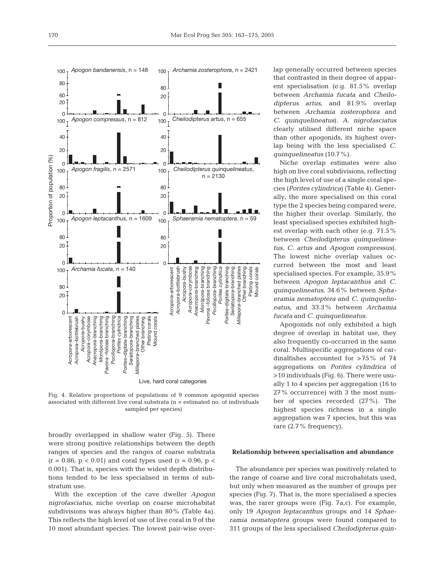

Fig. 4. Relative proportions of populations of 9 common apogonid species associated with different live coral substrata (n = estimated no. of individuals sampled per species)

broadly overlapped in shallow water (Fig. 5). There were strong positive relationships between the depth ranges of species and the ranges of coarse substrata  $(r = 0.86, p < 0.01)$  and coral types used  $(r = 0.96, p <$ 0.001). That is, species with the widest depth distributions tended to be less specialised in terms of substratum use.

With the exception of the cave dweller *Apogon nigrofasciatus*, niche overlap on coarse microhabitat subdivisions was always higher than 80% (Table 4a). This reflects the high level of use of live coral in 9 of the 10 most abundant species. The lowest pair-wise overlap generally occurred between species that contrasted in their degree of apparent specialisation (e.g. 81.5% overlap between *Archamia fucata* and *Cheilodipterus artus*, and 81.9% overlap between *Archamia zosterophora* and *C. quinquelineatus*). *A. nigrofasciatus* clearly utilised different niche space than other apogonids, its highest overlap being with the less specialised *C. quinquelineatus* (10.7%).

Niche overlap estimates were also high on live coral subdivisions, reflecting the high level of use of a single coral species (*Porites cylindrica*) (Table 4). Generally, the more specialised on this coral type the 2 species being compared were, the higher their overlap. Similarly, the least specialised species exhibited highest overlap with each other (e.g. 71.5% between *Cheilodipterus quinquelineatus*, *C. artus* and *Apogon compressus*). The lowest niche overlap values occurred between the most and least specialised species. For example, 35.9% between *Apogon leptacanthus* and *C. quinquelineatus*, 34.6% between *Sphaeramia nematoptera* and *C. quinquelineatus*, and 33.3% between *Archamia fucata* and *C. quinquelineatus*.

Apogonids not only exhibited a high degree of overlap in habitat use, they also frequently co-occurred in the same coral. Multispecific aggregations of cardinalfishes accounted for >75% of 74 aggregations on *Porites cylindrica* of >10 individuals (Fig. 6). There were usually 1 to 4 species per aggregation (16 to 27% occurrence) with 3 the most number of species recorded (27%). The highest species richness in a single aggregation was 7 species, but this was rare (2.7% frequency).

#### **Relationship between specialisation and abundance**

The abundance per species was positively related to the range of coarse and live coral microhabitats used, but only when measured as the number of groups per species (Fig. 7). That is, the more specialised a species was, the rarer groups were (Fig. 7a,c). For example, only 19 *Apogon leptacanthus* groups and 14 *Sphaeramia nematoptera* groups were found compared to 311 groups of the less specialised *Cheilodipterus quin-*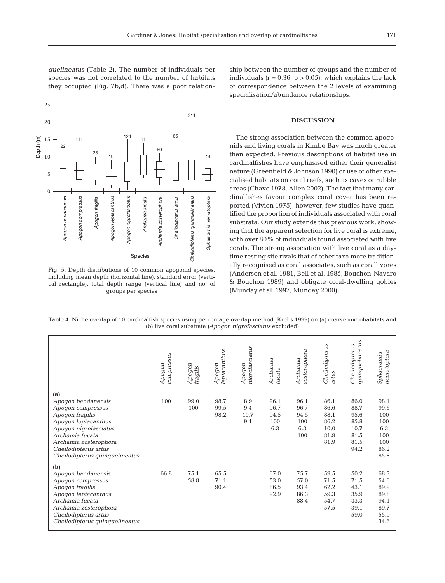*quelineatus* (Table 2). The number of individuals per species was not correlated to the number of habitats they occupied (Fig. 7b,d). There was a poor relation-



Fig. 5. Depth distributions of 10 common apogonid species, including mean depth (horizontal line), standard error (vertical rectangle), total depth range (vertical line) and no. of groups per species

ship between the number of groups and the number of individuals  $(r = 0.36, p > 0.05)$ , which explains the lack of correspondence between the 2 levels of examining specialisation/abundance relationships.

# **DISCUSSION**

The strong association between the common apogonids and living corals in Kimbe Bay was much greater than expected. Previous descriptions of habitat use in cardinalfishes have emphasised either their generalist nature (Greenfield & Johnson 1990) or use of other specialised habitats on coral reefs, such as caves or rubble areas (Chave 1978, Allen 2002). The fact that many cardinalfishes favour complex coral cover has been reported (Vivien 1975); however, few studies have quantified the proportion of individuals associated with coral substrata. Our study extends this previous work, showing that the apparent selection for live coral is extreme, with over 80% of individuals found associated with live corals. The strong association with live coral as a daytime resting site rivals that of other taxa more traditionally recognised as coral associates, such as corallivores (Anderson et al. 1981, Bell et al. 1985, Bouchon-Navaro & Bouchon 1989) and obligate coral-dwelling gobies (Munday et al. 1997, Munday 2000).

Table 4. Niche overlap of 10 cardinalfish species using percentage overlap method (Krebs 1999) on (a) coarse microhabitats and (b) live coral substrata *(Apogon nigrofasciatus* excluded)

|                                                                                                                                                                                                                         | compressus<br>Apogon | Apogon<br>fragilis | leptacanthus<br>Apogon | nigrofasciatus<br>Apogon  | Archamia<br>fucata                 | zosterophora<br>Archamia                  | Cheilodipterus<br>artus                              | quinquelineatus<br>Cheilodipterus                            | nematoptera<br>Sphaeramia                                       |
|-------------------------------------------------------------------------------------------------------------------------------------------------------------------------------------------------------------------------|----------------------|--------------------|------------------------|---------------------------|------------------------------------|-------------------------------------------|------------------------------------------------------|--------------------------------------------------------------|-----------------------------------------------------------------|
| (a)<br>Apogon bandanensis<br>Apoqon compressus<br>Apogon fragilis<br>Apogon leptacanthus<br>Apoqon niqrofasciatus<br>Archamia fucata<br>Archamia zosterophora<br>Cheilodipterus artus<br>Cheilodipterus quinquelineatus | 100                  | 99.0<br>100        | 98.7<br>99.5<br>98.2   | 8.9<br>9.4<br>10.7<br>9.1 | 96.1<br>96.7<br>94.5<br>100<br>6.3 | 96.1<br>96.7<br>94.5<br>100<br>6.3<br>100 | 86.1<br>86.6<br>88.1<br>86.2<br>10.0<br>81.9<br>81.9 | 86.0<br>88.7<br>95.6<br>85.8<br>10.7<br>81.5<br>81.5<br>94.2 | 98.1<br>99.6<br>100<br>100<br>6.3<br>100<br>100<br>86.2<br>85.8 |
| (b)<br>Apogon bandanensis<br>Apogon compressus<br>Apogon fragilis<br>Apogon leptacanthus<br>Archamia fucata<br>Archamia zosterophora<br>Cheilodipterus artus<br>Cheilodipterus quinquelineatus                          | 66.8                 | 75.1<br>58.8       | 65.5<br>71.1<br>90.4   |                           | 67.0<br>53.0<br>86.5<br>92.9       | 75.7<br>57.0<br>93.4<br>86.3<br>88.4      | 59.5<br>71.5<br>62.2<br>59.3<br>54.7<br>57.5         | 50.2<br>71.5<br>43.1<br>35.9<br>33.3<br>39.1<br>59.0         | 68.3<br>54.6<br>89.9<br>89.8<br>94.1<br>89.7<br>55.9<br>34.6    |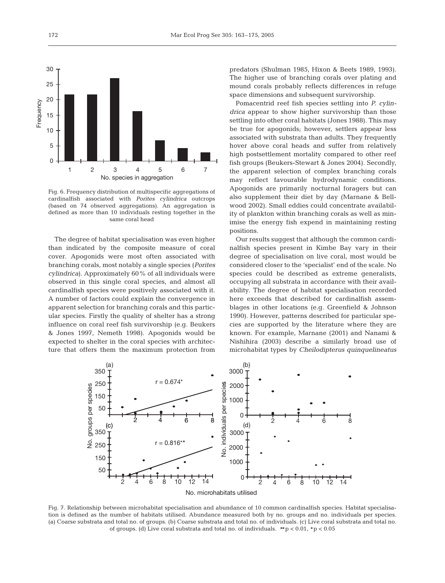

Fig. 6. Frequency distribution of multispecific aggregations of cardinalfish associated with *Porites cylindrica* outcrops (based on 74 observed aggregations). An aggregation is defined as more than 10 individuals resting together in the same coral head

The degree of habitat specialisation was even higher than indicated by the composite measure of coral cover. Apogonids were most often associated with branching corals, most notably a single species (*Porites cylindrica*). Approximately 60% of all individuals were observed in this single coral species, and almost all cardinalfish species were positively associated with it. A number of factors could explain the convergence in apparent selection for branching corals and this particular species. Firstly the quality of shelter has a strong influence on coral reef fish survivorship (e.g. Beukers & Jones 1997, Nemeth 1998). Apogonids would be expected to shelter in the coral species with architecture that offers them the maximum protection from

predators (Shulman 1985, Hixon & Beets 1989, 1993). The higher use of branching corals over plating and mound corals probably reflects differences in refuge space dimensions and subsequent survivorship.

Pomacentrid reef fish species settling into *P. cylindrica* appear to show higher survivorship than those settling into other coral habitats (Jones 1988). This may be true for apogonids; however, settlers appear less associated with substrata than adults. They frequently hover above coral heads and suffer from relatively high postsettlement mortality compared to other reef fish groups (Beukers-Stewart & Jones 2004). Secondly, the apparent selection of complex branching corals may reflect favourable hydrodynamic conditions. Apogonids are primarily nocturnal foragers but can also supplement their diet by day (Marnane & Bellwood 2002). Small eddies could concentrate availability of plankton within branching corals as well as minimise the energy fish expend in maintaining resting positions.

Our results suggest that although the common cardinalfish species present in Kimbe Bay vary in their degree of specialisation on live coral, most would be considered closer to the 'specialist' end of the scale. No species could be described as extreme generalists, occupying all substrata in accordance with their availability. The degree of habitat specialisation recorded here exceeds that described for cardinalfish assemblages in other locations (e.g. Greenfield & Johnson 1990). However, patterns described for particular species are supported by the literature where they are known. For example, Marnane (2001) and Nanami & Nishihira (2003) describe a similarly broad use of microhabitat types by *Cheilodipterus quinquelineatus*



Fig. 7. Relationship between microhabitat specialisation and abundance of 10 common cardinalfish species. Habitat specialisation is defined as the number of habitats utilised. Abundance measured both by no. groups and no. individuals per species. (a) Coarse substrata and total no. of groups. (b) Coarse substrata and total no. of individuals. (c) Live coral substrata and total no. of groups. (d) Live coral substrata and total no. of individuals.  $\star$  p < 0.01,  $\star$  p < 0.05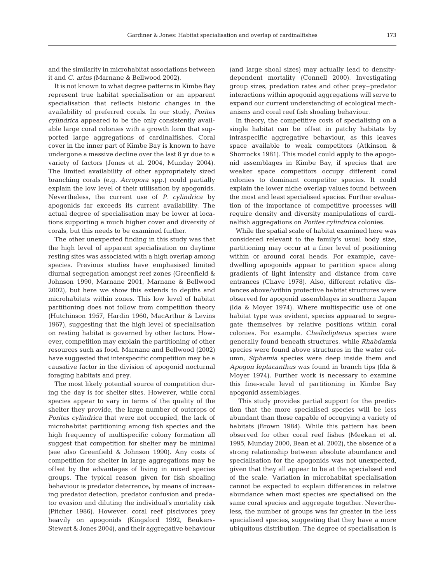and the similarity in microhabitat associations between it and *C. artus* (Marnane & Bellwood 2002).

It is not known to what degree patterns in Kimbe Bay represent true habitat specialisation or an apparent specialisation that reflects historic changes in the availability of preferred corals. In our study, *Porites cylindrica* appeared to be the only consistently available large coral colonies with a growth form that supported large aggregations of cardinalfishes. Coral cover in the inner part of Kimbe Bay is known to have undergone a massive decline over the last 8 yr due to a variety of factors (Jones et al. 2004, Munday 2004). The limited availability of other appropriately sized branching corals (e.g. *Acropora* spp.) could partially explain the low level of their utilisation by apogonids. Nevertheless, the current use of *P. cylindrica* by apogonids far exceeds its current availability. The actual degree of specialisation may be lower at locations supporting a much higher cover and diversity of corals, but this needs to be examined further.

The other unexpected finding in this study was that the high level of apparent specialisation on daytime resting sites was associated with a high overlap among species. Previous studies have emphasised limited diurnal segregation amongst reef zones (Greenfield & Johnson 1990, Marnane 2001, Marnane & Bellwood 2002), but here we show this extends to depths and microhabitats within zones. This low level of habitat partitioning does not follow from competition theory (Hutchinson 1957, Hardin 1960, MacArthur & Levins 1967), suggesting that the high level of specialisation on resting habitat is governed by other factors. However, competition may explain the partitioning of other resources such as food. Marnane and Bellwood (2002) have suggested that interspecific competition may be a causative factor in the division of apogonid nocturnal foraging habitats and prey.

The most likely potential source of competition during the day is for shelter sites. However, while coral species appear to vary in terms of the quality of the shelter they provide, the large number of outcrops of *Porites cylindrica* that were not occupied, the lack of microhabitat partitioning among fish species and the high frequency of multispecific colony formation all suggest that competition for shelter may be minimal (see also Greenfield & Johnson 1990). Any costs of competition for shelter in large aggregations may be offset by the advantages of living in mixed species groups. The typical reason given for fish shoaling behaviour is predator deterrence, by means of increasing predator detection, predator confusion and predator evasion and diluting the individual's mortality risk (Pitcher 1986). However, coral reef piscivores prey heavily on apogonids (Kingsford 1992, Beukers-Stewart & Jones 2004), and their aggregative behaviour (and large shoal sizes) may actually lead to densitydependent mortality (Connell 2000). Investigating group sizes, predation rates and other prey–predator interactions within apogonid aggregations will serve to expand our current understanding of ecological mechanisms and coral reef fish shoaling behaviour.

In theory, the competitive costs of specialising on a single habitat can be offset in patchy habitats by intraspecific aggregative behaviour, as this leaves space available to weak competitors (Atkinson & Shorrocks 1981). This model could apply to the apogonid assemblages in Kimbe Bay, if species that are weaker space competitors occupy different coral colonies to dominant competitor species. It could explain the lower niche overlap values found between the most and least specialised species. Further evaluation of the importance of competitive processes will require density and diversity manipulations of cardinalfish aggregations on *Porites cylindrica* colonies.

While the spatial scale of habitat examined here was considered relevant to the family's usual body size, partitioning may occur at a finer level of positioning within or around coral heads. For example, cavedwelling apogonids appear to partition space along gradients of light intensity and distance from cave entrances (Chave 1978). Also, different relative distances above/within protective habitat structures were observed for apogonid assemblages in southern Japan (Ida & Moyer 1974). Where multispecific use of one habitat type was evident, species appeared to segregate themselves by relative positions within coral colonies. For example, *Cheilodipterus* species were generally found beneath structures, while *Rhabdamia* species were found above structures in the water column, *Siphamia* species were deep inside them and *Apogon leptacanthus* was found in branch tips (Ida & Moyer 1974). Further work is necessary to examine this fine-scale level of partitioning in Kimbe Bay apogonid assemblages.

This study provides partial support for the prediction that the more specialised species will be less abundant than those capable of occupying a variety of habitats (Brown 1984). While this pattern has been observed for other coral reef fishes (Meekan et al. 1995, Munday 2000, Bean et al. 2002), the absence of a strong relationship between absolute abundance and specialisation for the apogonids was not unexpected, given that they all appear to be at the specialised end of the scale. Variation in microhabitat specialisation cannot be expected to explain differences in relative abundance when most species are specialised on the same coral species and aggregate together. Nevertheless, the number of groups was far greater in the less specialised species, suggesting that they have a more ubiquitous distribution. The degree of specialisation is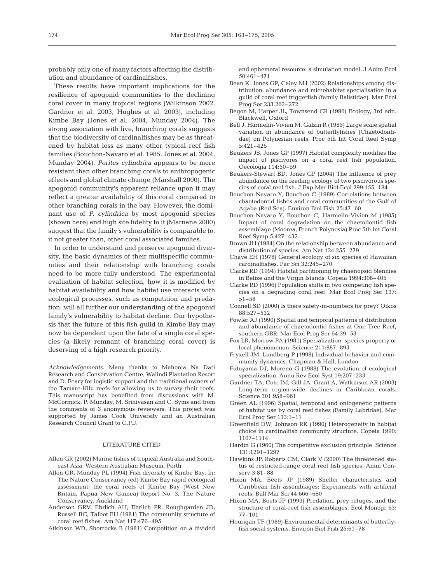probably only one of many factors affecting the distribution and abundance of cardinalfishes.

These results have important implications for the resilience of apogonid communities to the declining coral cover in many tropical regions (Wilkinson 2002, Gardner et al. 2003, Hughes et al. 2003), including Kimbe Bay (Jones et al. 2004, Munday 2004). The strong association with live, branching corals suggests that the biodiversity of cardinalfishes may be as threatened by habitat loss as many other typical reef fish families (Bouchon-Navaro et al. 1985, Jones et al. 2004, Munday 2004). *Porites cylindrica* appears to be more resistant than other branching corals to anthropogenic effects and global climate change (Marshall 2000). The apogonid community's apparent reliance upon it may reflect a greater availability of this coral compared to other branching corals in the bay. However, the dominant use of *P. cylindrica* by most apogonid species (shown here) and high site fidelity to it (Marnane 2000) suggest that the family's vulnerability is comparable to, if not greater than, other coral associated families.

In order to understand and preserve apogonid diversity, the basic dynamics of their multispecific communities and their relationship with branching corals need to be more fully understood. The experimental evaluation of habitat selection, how it is modified by habitat availability and how habitat use interacts with ecological processes, such as competition and predation, will all further our understanding of the apogonid family's vulnerability to habitat decline. Our hypothesis that the future of this fish guild in Kimbe Bay may now be dependent upon the fate of a single coral species (a likely remnant of branching coral cover) is deserving of a high research priority.

*Acknowledgements.* Many thanks to Mahonia Na Dari Research and Conservation Centre, Walindi Plantation Resort and D. Feary for logistic support and the traditional owners of the Tamare-Kilu reefs for allowing us to survey their reefs. This manuscript has benefited from discussions with M. McCormick, P. Munday, M. Srinivasan and C. Syms and from the comments of 3 anonymous reviewers. This project was supported by James Cook University and an Australian Research Council Grant to G.P.J.

## LITERATURE CITED

- Allen GR (2002) Marine fishes of tropical Australia and Southeast Asia. Western Australian Museum, Perth
- Allen GR, Munday PL (1994) Fish diversity of Kimbe Bay. In: The Nature Conservancy (ed) Kimbe Bay rapid ecological assessment: the coral reefs of Kimbe Bay (West New Britain, Papua New Guinea) Report No. 3, The Nature Conservancy, Auckland
- Anderson GRV, Ehrlich AH, Ehrlich PR, Roughgarden JD, Russell BC, Talbot FH (1981) The community structure of coral reef fishes. Am Nat 117:476–495
- Atkinson WD, Shorrocks B (1981) Competition on a divided

and ephemeral resource: a simulation model. J Anim Ecol 50:461–471

- Bean K, Jones GP, Caley MJ (2002) Relationships among distribution, abundance and microhabitat specialisation in a guild of coral reef triggerfish (family Balistidae). Mar Ecol Prog Ser 233:263–272
- Begon M, Harper JL, Townsend CR (1996) Ecology, 3rd edn. Blackwell, Oxford
- Bell J, Harmelin-Vivien M, Galzin R (1985) Large scale spatial variation in abundance of butterflyfishes (Chaetodontidae) on Polynesian reefs. Proc 5th Int Coral Reef Symp 5:421–426
- Beukers JS, Jones GP (1997) Habitat complexity modifies the impact of piscivores on a coral reef fish population. Oecologia 114:50–59
- Beukers-Stewart BD, Jones GP (2004) The influence of prey abundance on the feeding ecology of two piscivorous species of coral reef fish. J Exp Mar Biol Ecol 299:155–184
- Bouchon-Navaro Y, Bouchon C (1989) Correlations between chaetodontid fishes and coral communities of the Gulf of Aqaba (Red Sea). Environ Biol Fish 25:47–60
- Bouchon-Navaro Y, Bouchon C, Harmelin-Vivien M (1985) Impact of coral degradation on the chaetodontid fish assemblage (Moorea, French Polynesia) Proc 5th Int Coral Reef Symp 5:427–432
- Brown JH (1984) On the relationship between abundance and distribution of species. Am Nat 124:255–279
- Chave EH (1978) General ecology of six species of Hawaiian cardinalfishes. Pac Sci 32:245–270
- Clarke RD (1994) Habitat partitioning by chaenopsid blennies in Belize and the Virgin Islands. Copeia 1994:398–405
- Clarke RD (1996) Population shifts in two competing fish species on a degrading coral reef. Mar Ecol Prog Ser 137: 51–58
- Connell SD (2000) Is there safety-in-numbers for prey? Oikos 88:527–532
- Fowler AJ (1990) Spatial and temporal patterns of distribution and abundance of chaetodontid fishes at One Tree Reef, southern GBR. Mar Ecol Prog Ser 64:39–53
- Fox LR, Morrow PA (1981) Specialization: species property or local phenomenon. Science 211:887–893
- Fryxell JM, Lundberg P (1998) Individual behavior and community dynamics. Chapman & Hall, London
- Futuyama DJ, Moreno G (1988) The evolution of ecological specialization. Annu Rev Ecol Syst 19:207–233
- Gardner TA, Cote IM, Gill JA, Grant A, Watkinson AR (2003) Long-term region-wide declines in Caribbean corals. Science 301:958–961
- Green AL (1996) Spatial, temporal and ontogenetic patterns of habitat use by coral reef fishes (Family Labridae). Mar Ecol Prog Ser 133:1–11
- Greenfield DW, Johnson RK (1990) Heterogeneity in habitat choice in cardinalfish community structure. Copeia 1990: 1107–1114
- Hardin G (1960) The competitive exclusion principle. Science 131:1291–1297
- Hawkins JP, Roberts CM, Clark V (2000) The threatened status of restricted-range coral reef fish species. Anim Conserv 3:81–88
- Hixon MA, Beets JP (1989) Shelter characteristics and Caribbean fish assemblages: Experiments with artificial reefs. Bull Mar Sci 44:666–680
- Hixon MA, Beets JP (1993) Predation, prey refuges, and the structure of coral-reef fish assemblages. Ecol Monogr 63: 77–101
- Hourigan TF (1989) Environmental determinants of butterflyfish social systems. Environ Biol Fish 25:61–78